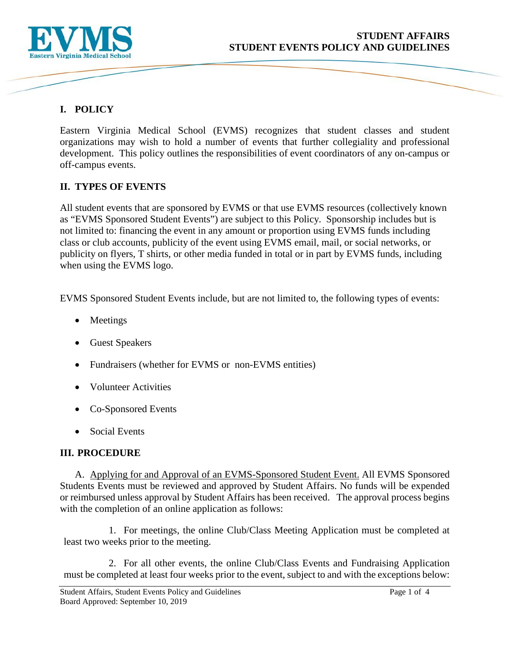

# **I. POLICY**

Eastern Virginia Medical School (EVMS) recognizes that student classes and student organizations may wish to hold a number of events that further collegiality and professional development. This policy outlines the responsibilities of event coordinators of any on-campus or off-campus events.

## **II. TYPES OF EVENTS**

All student events that are sponsored by EVMS or that use EVMS resources (collectively known as "EVMS Sponsored Student Events") are subject to this Policy. Sponsorship includes but is not limited to: financing the event in any amount or proportion using EVMS funds including class or club accounts, publicity of the event using EVMS email, mail, or social networks, or publicity on flyers, T shirts, or other media funded in total or in part by EVMS funds, including when using the EVMS logo.

EVMS Sponsored Student Events include, but are not limited to, the following types of events:

- Meetings
- Guest Speakers
- Fundraisers (whether for EVMS or non-EVMS entities)
- Volunteer Activities
- Co-Sponsored Events
- Social Events

## **III. PROCEDURE**

A. Applying for and Approval of an EVMS-Sponsored Student Event. All EVMS Sponsored Students Events must be reviewed and approved by Student Affairs. No funds will be expended or reimbursed unless approval by Student Affairs has been received. The approval process begins with the completion of an online application as follows:

1. For meetings, the online Club/Class Meeting Application must be completed at least two weeks prior to the meeting.

2. For all other events, the online Club/Class Events and Fundraising Application must be completed at least four weeks prior to the event, subject to and with the exceptions below: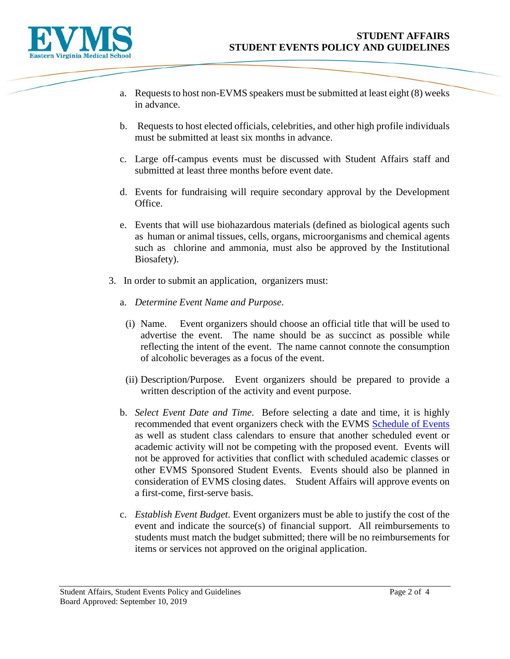

- a. Requests to host non-EVMS speakers must be submitted at least eight (8) weeks in advance.
- b. Requests to host elected officials, celebrities, and other high profile individuals must be submitted at least six months in advance.
- c. Large off-campus events must be discussed with Student Affairs staff and submitted at least three months before event date.
- d. Events for fundraising will require secondary approval by the Development Office.
- e. Events that will use biohazardous materials (defined as biological agents such as human or animal tissues, cells, organs, microorganisms and chemical agents such as chlorine and ammonia, must also be approved by the Institutional Biosafety).
- 3. In order to submit an application, organizers must:
	- a. *Determine Event Name and Purpose*.
		- (i) Name. Event organizers should choose an official title that will be used to advertise the event. The name should be as succinct as possible while reflecting the intent of the event. The name cannot connote the consumption of alcoholic beverages as a focus of the event.
		- (ii) Description/Purpose.Event organizers should be prepared to provide a written description of the activity and event purpose.
	- b. *Select Event Date and Time*.Before selecting a date and time, it is highly recommended that event organizers check with the EVMS [Schedule of Events](https://www.evms.edu/education/commencement/schedule_of_events/) as well as student class calendars to ensure that another scheduled event or academic activity will not be competing with the proposed event. Events will not be approved for activities that conflict with scheduled academic classes or other EVMS Sponsored Student Events. Events should also be planned in consideration of EVMS closing dates. Student Affairs will approve events on a first-come, first-serve basis.
	- c. *Establish Event Budget*. Event organizers must be able to justify the cost of the event and indicate the source(s) of financial support. All reimbursements to students must match the budget submitted; there will be no reimbursements for items or services not approved on the original application.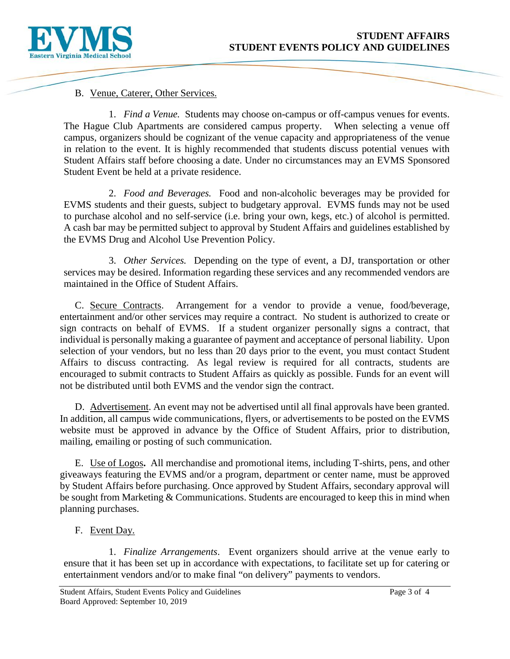

#### B. Venue, Caterer, Other Services.

1. *Find a Venue.* Students may choose on-campus or off-campus venues for events. The Hague Club Apartments are considered campus property. When selecting a venue off campus, organizers should be cognizant of the venue capacity and appropriateness of the venue in relation to the event. It is highly recommended that students discuss potential venues with Student Affairs staff before choosing a date. Under no circumstances may an EVMS Sponsored Student Event be held at a private residence.

2. *Food and Beverages.* Food and non-alcoholic beverages may be provided for EVMS students and their guests, subject to budgetary approval. EVMS funds may not be used to purchase alcohol and no self-service (i.e. bring your own, kegs, etc.) of alcohol is permitted. A cash bar may be permitted subject to approval by Student Affairs and guidelines established by the EVMS Drug and Alcohol Use Prevention Policy.

3. *Other Services.* Depending on the type of event, a DJ, transportation or other services may be desired. Information regarding these services and any recommended vendors are maintained in the Office of Student Affairs.

C. Secure Contracts. Arrangement for a vendor to provide a venue, food/beverage, entertainment and/or other services may require a contract. No student is authorized to create or sign contracts on behalf of EVMS. If a student organizer personally signs a contract, that individual is personally making a guarantee of payment and acceptance of personal liability. Upon selection of your vendors, but no less than 20 days prior to the event, you must contact Student Affairs to discuss contracting. As legal review is required for all contracts, students are encouraged to submit contracts to Student Affairs as quickly as possible. Funds for an event will not be distributed until both EVMS and the vendor sign the contract.

D. Advertisement. An event may not be advertised until all final approvals have been granted. In addition, all campus wide communications, flyers, or advertisements to be posted on the EVMS website must be approved in advance by the Office of Student Affairs, prior to distribution, mailing, emailing or posting of such communication.

E. Use of Logos**.** All merchandise and promotional items, including T-shirts, pens, and other giveaways featuring the EVMS and/or a program, department or center name, must be approved by Student Affairs before purchasing. Once approved by Student Affairs, secondary approval will be sought from Marketing & Communications. Students are encouraged to keep this in mind when planning purchases.

F. Event Day.

1. *Finalize Arrangements*. Event organizers should arrive at the venue early to ensure that it has been set up in accordance with expectations, to facilitate set up for catering or entertainment vendors and/or to make final "on delivery" payments to vendors.